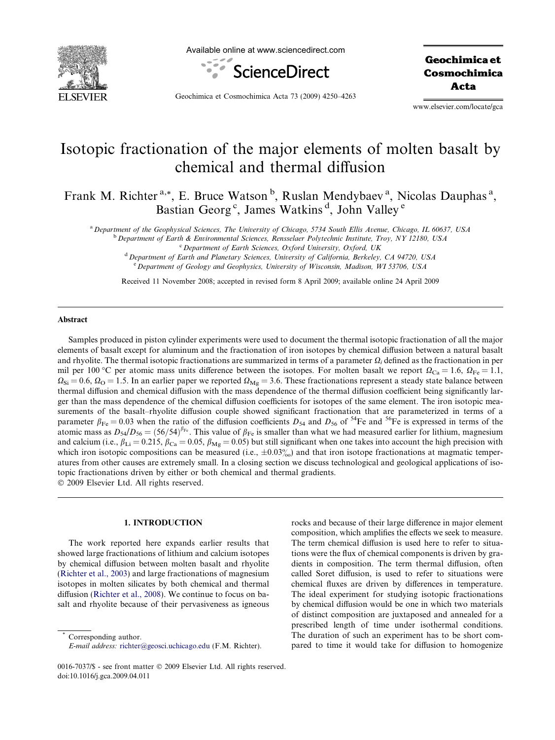

Available online at www.sciencedirect.com



Geochimica et Cosmochimica Acta

Geochimica et Cosmochimica Acta 73 (2009) 4250–4263

www.elsevier.com/locate/gca

# Isotopic fractionation of the major elements of molten basalt by chemical and thermal diffusion

Frank M. Richter<sup>a,\*</sup>, E. Bruce Watson<sup>b</sup>, Ruslan Mendybaev<sup>a</sup>, Nicolas Dauphas<sup>a</sup>, Bastian Georg<sup>c</sup>, James Watkins<sup>d</sup>, John Valley<sup>e</sup>

<sup>a</sup> Department of the Geophysical Sciences, The University of Chicago, 5734 South Ellis Avenue, Chicago, IL 60637, USA

<sup>b</sup> Department of Earth & Environmental Sciences, Rensselaer Polytechnic Institute, Troy, NY 12180, USA

<sup>d</sup> Department of Earth and Planetary Sciences, University of California, Berkeley, CA 94720, USA <sup>e</sup> Department of Geology and Geophysics, University of Wisconsin, Madison, WI 53706, USA

Received 11 November 2008; accepted in revised form 8 April 2009; available online 24 April 2009

### Abstract

Samples produced in piston cylinder experiments were used to document the thermal isotopic fractionation of all the major elements of basalt except for aluminum and the fractionation of iron isotopes by chemical diffusion between a natural basalt and rhyolite. The thermal isotopic fractionations are summarized in terms of a parameter  $\Omega_i$  defined as the fractionation in per mil per 100 °C per atomic mass units difference between the isotopes. For molten basalt we report  $\Omega_{Ca} = 1.6$ ,  $\Omega_{Fe} = 1.1$ ,  $\Omega_{\text{Si}} = 0.6$ ,  $\Omega_{\text{O}} = 1.5$ . In an earlier paper we reported  $\Omega_{\text{Mg}} = 3.6$ . These fractionations represent a steady state balance between thermal diffusion and chemical diffusion with the mass dependence of the thermal diffusion coefficient being significantly larger than the mass dependence of the chemical diffusion coefficients for isotopes of the same element. The iron isotopic measurements of the basalt–rhyolite diffusion couple showed significant fractionation that are parameterized in terms of a parameter  $\beta_{Fe} = 0.03$  when the ratio of the diffusion coefficients  $D_{54}$  and  $D_{56}$  of <sup>54</sup>Fe and <sup>56</sup>Fe is expressed in terms of the atomic mass as  $D_{54}/D_{56} = (56/54)^{\beta_{Fe}}$ . This value of  $\beta_{Fe}$  is smaller than what we had measured earlier for lithium, magnesium and calcium (i.e.,  $\beta_{Li} = 0.215$ ,  $\beta_{Ca} = 0.05$ ,  $\beta_{Mg} = 0.05$ ) but still significant when one takes into account the high precision with which iron isotopic compositions can be measured (i.e.,  $\pm 0.03\%$ ) and that iron isotope fractionations at magmatic temperatures from other causes are extremely small. In a closing section we discuss technological and geological applications of isotopic fractionations driven by either or both chemical and thermal gradients.

2009 Elsevier Ltd. All rights reserved.

## 1. INTRODUCTION

The work reported here expands earlier results that showed large fractionations of lithium and calcium isotopes by chemical diffusion between molten basalt and rhyolite ([Richter et al., 2003\)](#page-13-0) and large fractionations of magnesium isotopes in molten silicates by both chemical and thermal diffusion [\(Richter et al., 2008\)](#page-13-0). We continue to focus on basalt and rhyolite because of their pervasiveness as igneous

Corresponding author.

rocks and because of their large difference in major element composition, which amplifies the effects we seek to measure. The term chemical diffusion is used here to refer to situations were the flux of chemical components is driven by gradients in composition. The term thermal diffusion, often called Soret diffusion, is used to refer to situations were chemical fluxes are driven by differences in temperature. The ideal experiment for studying isotopic fractionations by chemical diffusion would be one in which two materials of distinct composition are juxtaposed and annealed for a prescribed length of time under isothermal conditions. The duration of such an experiment has to be short compared to time it would take for diffusion to homogenize

 $c$  Department of Earth Sciences, Oxford University, Oxford, UK

E-mail address: [richter@geosci.uchicago.edu](mailto:richter@geosci.uchicago.edu) (F.M. Richter).

<sup>0016-7037/\$ -</sup> see front matter © 2009 Elsevier Ltd. All rights reserved. doi:10.1016/j.gca.2009.04.011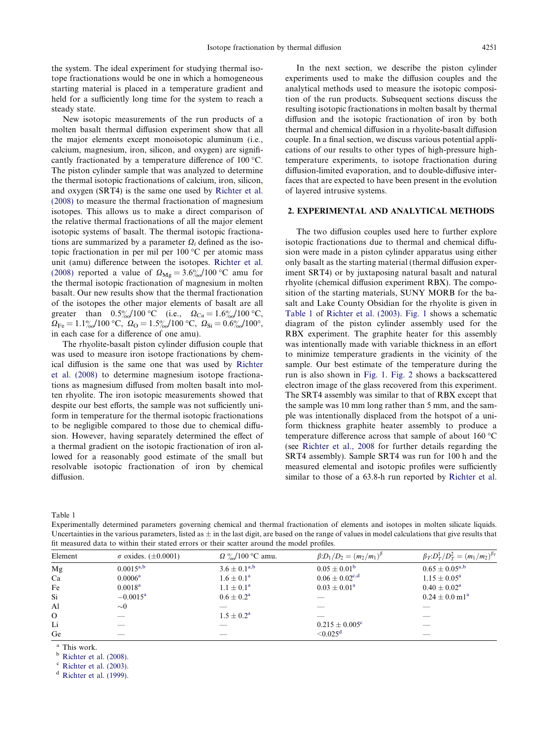<span id="page-1-0"></span>the system. The ideal experiment for studying thermal isotope fractionations would be one in which a homogeneous starting material is placed in a temperature gradient and held for a sufficiently long time for the system to reach a steady state.

New isotopic measurements of the run products of a molten basalt thermal diffusion experiment show that all the major elements except monoisotopic aluminum (i.e., calcium, magnesium, iron, silicon, and oxygen) are significantly fractionated by a temperature difference of  $100 \degree C$ . The piston cylinder sample that was analyzed to determine the thermal isotopic fractionations of calcium, iron, silicon, and oxygen (SRT4) is the same one used by [Richter et al.](#page-13-0) [\(2008\)](#page-13-0) to measure the thermal fractionation of magnesium isotopes. This allows us to make a direct comparison of the relative thermal fractionations of all the major element isotopic systems of basalt. The thermal isotopic fractionations are summarized by a parameter  $\Omega_i$  defined as the isotopic fractionation in per mil per  $100\,^{\circ}\text{C}$  per atomic mass unit (amu) difference between the isotopes. [Richter et al.](#page-13-0) [\(2008\)](#page-13-0) reported a value of  $\Omega_{\text{Mg}} = 3.6\% / 100 \degree \text{C}$  amu for the thermal isotopic fractionation of magnesium in molten basalt. Our new results show that the thermal fractionation of the isotopes the other major elements of basalt are all greater than  $0.5\% / 100 \, \text{°C}$  (i.e.,  $\Omega_{\text{Ca}} = 1.6\% / 100 \, \text{°C}$ ,  $\Omega_{\rm Fe} = 1.1\% \frac{1}{100}$  °C,  $\Omega_{\rm O} = 1.5\% \frac{1}{100}$  °C,  $\Omega_{\rm Si} = 0.6\% \frac{1}{100}$ °, in each case for a difference of one amu).

The rhyolite-basalt piston cylinder diffusion couple that was used to measure iron isotope fractionations by chemical diffusion is the same one that was used by [Richter](#page-13-0) [et al. \(2008\)](#page-13-0) to determine magnesium isotope fractionations as magnesium diffused from molten basalt into molten rhyolite. The iron isotopic measurements showed that despite our best efforts, the sample was not sufficiently uniform in temperature for the thermal isotopic fractionations to be negligible compared to those due to chemical diffusion. However, having separately determined the effect of a thermal gradient on the isotopic fractionation of iron allowed for a reasonably good estimate of the small but resolvable isotopic fractionation of iron by chemical diffusion.

In the next section, we describe the piston cylinder experiments used to make the diffusion couples and the analytical methods used to measure the isotopic composition of the run products. Subsequent sections discuss the resulting isotopic fractionations in molten basalt by thermal diffusion and the isotopic fractionation of iron by both thermal and chemical diffusion in a rhyolite-basalt diffusion couple. In a final section, we discuss various potential applications of our results to other types of high-pressure hightemperature experiments, to isotope fractionation during diffusion-limited evaporation, and to double-diffusive interfaces that are expected to have been present in the evolution of layered intrusive systems.

## 2. EXPERIMENTAL AND ANALYTICAL METHODS

The two diffusion couples used here to further explore isotopic fractionations due to thermal and chemical diffusion were made in a piston cylinder apparatus using either only basalt as the starting material (thermal diffusion experiment SRT4) or by juxtaposing natural basalt and natural rhyolite (chemical diffusion experiment RBX). The composition of the starting materials, SUNY MORB for the basalt and Lake County Obsidian for the rhyolite is given in Table 1 of [Richter et al. \(2003\)](#page-13-0). [Fig. 1](#page-2-0) shows a schematic diagram of the piston cylinder assembly used for the RBX experiment. The graphite heater for this assembly was intentionally made with variable thickness in an effort to minimize temperature gradients in the vicinity of the sample. Our best estimate of the temperature during the run is also shown in [Fig. 1.](#page-2-0) [Fig. 2](#page-2-0) shows a backscattered electron image of the glass recovered from this experiment. The SRT4 assembly was similar to that of RBX except that the sample was 10 mm long rather than 5 mm, and the sample was intentionally displaced from the hotspot of a uniform thickness graphite heater assembly to produce a temperature difference across that sample of about  $160^{\circ}$ C (see [Richter et al., 2008](#page-13-0) for further details regarding the SRT4 assembly). Sample SRT4 was run for 100 h and the measured elemental and isotopic profiles were sufficiently similar to those of a 63.8-h run reported by [Richter et al.](#page-13-0)

Table 1

Experimentally determined parameters governing chemical and thermal fractionation of elements and isotopes in molten silicate liquids. Uncertainties in the various parameters, listed as  $\pm$  in the last digit, are based on the range of values in model calculations that give results that fit measured data to within their stated errors or their scatter around the model profiles.

| Element  | $\sigma$ oxides. ( $\pm 0.0001$ ) | $\Omega \frac{\omega}{\omega}$ /100 °C amu. | $\beta:D_1/D_2 = (m_2/m_1)^{\beta}$ | $\beta_T : D_T^1 / D_T^2 = (m_1 / m_2)^{\beta_T}$ |
|----------|-----------------------------------|---------------------------------------------|-------------------------------------|---------------------------------------------------|
| Mg       | $0.0015^{a,b}$                    | $3.6 \pm 0.1^{a,b}$                         | $0.05 \pm 0.01^{\rm b}$             | $0.65 \pm 0.05^{\rm a,b}$                         |
| Ca       | $0.0006^{\rm a}$                  | $1.6 \pm 0.1^{\rm a}$                       | $0.06 \pm 0.02^{\text{c,d}}$        | $1.15 \pm 0.05^a$                                 |
| Fe       | $0.0018^{\rm a}$                  | $1.1 \pm 0.1^{\rm a}$                       | $0.03 \pm 0.01^a$                   | $0.40 \pm 0.02^a$                                 |
| Si       | $-0.0015^{\rm a}$                 | $0.6 \pm 0.2^{\rm a}$                       |                                     | $0.24 \pm 0.0$ m $1^{\rm a}$                      |
| Al       | $\sim 0$                          |                                             |                                     |                                                   |
| $\Omega$ |                                   | $1.5 \pm 0.2^{\rm a}$                       |                                     |                                                   |
| Li       |                                   |                                             | $0.215 \pm 0.005^c$                 |                                                   |
| Ge       | _                                 | _                                           | $\leq 0.025^d$                      | $-$                                               |

<sup>a</sup> This work.<br><sup>b</sup> [Richter et al. \(2008\)](#page-13-0).

 $\textdegree$  [Richter et al. \(2003\)](#page-13-0).

 $d$  [Richter et al. \(1999\)](#page-13-0).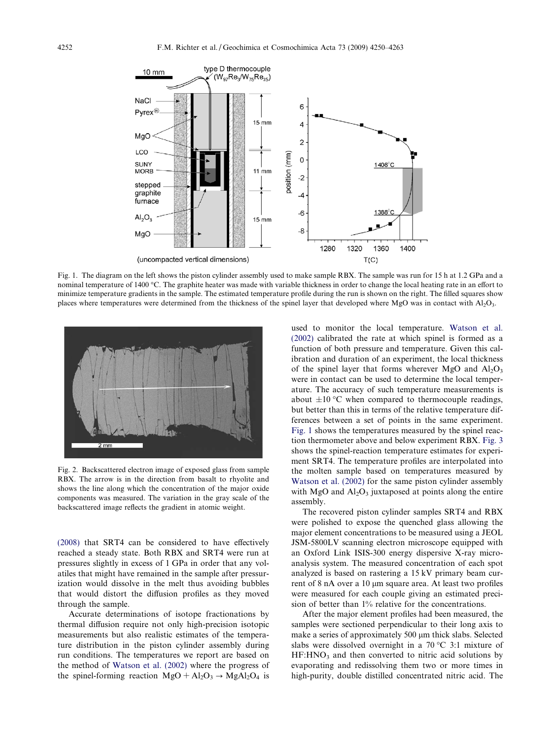<span id="page-2-0"></span>

Fig. 1. The diagram on the left shows the piston cylinder assembly used to make sample RBX. The sample was run for 15 h at 1.2 GPa and a nominal temperature of 1400 °C. The graphite heater was made with variable thickness in order to change the local heating rate in an effort to minimize temperature gradients in the sample. The estimated temperature profile during the run is shown on the right. The filled squares show places where temperatures were determined from the thickness of the spinel layer that developed where MgO was in contact with Al2O3.



Fig. 2. Backscattered electron image of exposed glass from sample RBX. The arrow is in the direction from basalt to rhyolite and shows the line along which the concentration of the major oxide components was measured. The variation in the gray scale of the backscattered image reflects the gradient in atomic weight.

[\(2008\)](#page-13-0) that SRT4 can be considered to have effectively reached a steady state. Both RBX and SRT4 were run at pressures slightly in excess of 1 GPa in order that any volatiles that might have remained in the sample after pressurization would dissolve in the melt thus avoiding bubbles that would distort the diffusion profiles as they moved through the sample.

Accurate determinations of isotope fractionations by thermal diffusion require not only high-precision isotopic measurements but also realistic estimates of the temperature distribution in the piston cylinder assembly during run conditions. The temperatures we report are based on the method of [Watson et al. \(2002\)](#page-13-0) where the progress of the spinel-forming reaction  $MgO + Al_2O_3 \rightarrow MgAl_2O_4$  is

used to monitor the local temperature. [Watson et al.](#page-13-0) [\(2002\)](#page-13-0) calibrated the rate at which spinel is formed as a function of both pressure and temperature. Given this calibration and duration of an experiment, the local thickness of the spinel layer that forms wherever MgO and  $Al_2O_3$ were in contact can be used to determine the local temperature. The accuracy of such temperature measurements is about  $\pm 10$  °C when compared to thermocouple readings, but better than this in terms of the relative temperature differences between a set of points in the same experiment. Fig. 1 shows the temperatures measured by the spinel reaction thermometer above and below experiment RBX. [Fig. 3](#page-3-0) shows the spinel-reaction temperature estimates for experiment SRT4. The temperature profiles are interpolated into the molten sample based on temperatures measured by [Watson et al. \(2002\)](#page-13-0) for the same piston cylinder assembly with MgO and  $Al_2O_3$  juxtaposed at points along the entire assembly.

The recovered piston cylinder samples SRT4 and RBX were polished to expose the quenched glass allowing the major element concentrations to be measured using a JEOL JSM-5800LV scanning electron microscope equipped with an Oxford Link ISIS-300 energy dispersive X-ray microanalysis system. The measured concentration of each spot analyzed is based on rastering a 15 kV primary beam current of 8 nA over a 10 μm square area. At least two profiles were measured for each couple giving an estimated precision of better than 1% relative for the concentrations.

After the major element profiles had been measured, the samples were sectioned perpendicular to their long axis to make a series of approximately 500 µm thick slabs. Selected slabs were dissolved overnight in a  $70\,^{\circ}\text{C}$  3:1 mixture of  $HF: HNO<sub>3</sub>$  and then converted to nitric acid solutions by evaporating and redissolving them two or more times in high-purity, double distilled concentrated nitric acid. The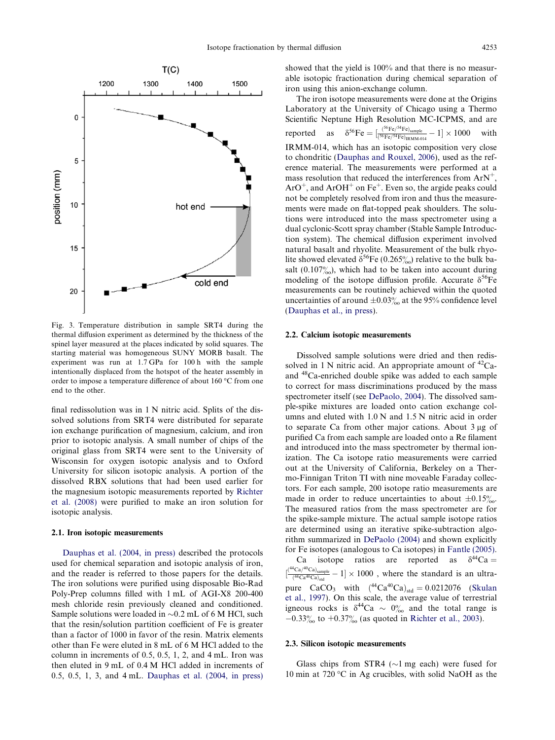<span id="page-3-0"></span>

Fig. 3. Temperature distribution in sample SRT4 during the thermal diffusion experiment as determined by the thickness of the spinel layer measured at the places indicated by solid squares. The starting material was homogeneous SUNY MORB basalt. The experiment was run at 1.7 GPa for 100 h with the sample intentionally displaced from the hotspot of the heater assembly in order to impose a temperature difference of about  $160^{\circ}$ C from one end to the other.

final redissolution was in 1 N nitric acid. Splits of the dissolved solutions from SRT4 were distributed for separate ion exchange purification of magnesium, calcium, and iron prior to isotopic analysis. A small number of chips of the original glass from SRT4 were sent to the University of Wisconsin for oxygen isotopic analysis and to Oxford University for silicon isotopic analysis. A portion of the dissolved RBX solutions that had been used earlier for the magnesium isotopic measurements reported by [Richter](#page-13-0) [et al. \(2008\)](#page-13-0) were purified to make an iron solution for isotopic analysis.

#### 2.1. Iron isotopic measurements

[Dauphas et al. \(2004, in press\)](#page-13-0) described the protocols used for chemical separation and isotopic analysis of iron, and the reader is referred to those papers for the details. The iron solutions were purified using disposable Bio-Rad Poly-Prep columns filled with 1 mL of AGI-X8 200-400 mesh chloride resin previously cleaned and conditioned. Sample solutions were loaded in  $\sim 0.2$  mL of 6 M HCl, such that the resin/solution partition coefficient of Fe is greater than a factor of 1000 in favor of the resin. Matrix elements other than Fe were eluted in 8 mL of 6 M HCl added to the column in increments of 0.5, 0.5, 1, 2, and 4 mL. Iron was then eluted in 9 mL of 0.4 M HCl added in increments of 0.5, 0.5, 1, 3, and 4 mL. [Dauphas et al. \(2004, in press\)](#page-13-0)

showed that the yield is 100% and that there is no measurable isotopic fractionation during chemical separation of iron using this anion-exchange column.

The iron isotope measurements were done at the Origins Laboratory at the University of Chicago using a Thermo Scientific Neptune High Resolution MC-ICPMS, and are reported as  $\delta^{56}$ Fe  $= [\frac{{}^{(56}Fe)^{54}Fe}_{(36Fe)^{54}Fe})_{IRMM\text{-}014} - 1] \times 1000$  with IRMM-014, which has an isotopic composition very close to chondritic ([Dauphas and Rouxel, 2006\)](#page-13-0), used as the reference material. The measurements were performed at a mass resolution that reduced the interferences from  $ArN^+$  $ArO<sup>+</sup>$ , and  $ArOH<sup>+</sup>$  on Fe<sup>+</sup>. Even so, the argide peaks could not be completely resolved from iron and thus the measurements were made on flat-topped peak shoulders. The solutions were introduced into the mass spectrometer using a dual cyclonic-Scott spray chamber (Stable Sample Introduction system). The chemical diffusion experiment involved natural basalt and rhyolite. Measurement of the bulk rhyolite showed elevated  $\delta^{56}$ Fe (0.265%) relative to the bulk basalt  $(0.107\%)$ , which had to be taken into account during modeling of the isotope diffusion profile. Accurate  $\delta^{56}$ Fe measurements can be routinely achieved within the quoted uncertainties of around  $\pm 0.03\%$  at the 95% confidence level [\(Dauphas et al., in press](#page-13-0)).

## 2.2. Calcium isotopic measurements

Dissolved sample solutions were dried and then redissolved in 1 N nitric acid. An appropriate amount of  ${}^{42}$ Caand 48Ca-enriched double spike was added to each sample to correct for mass discriminations produced by the mass spectrometer itself (see [DePaolo, 2004](#page-13-0)). The dissolved sample-spike mixtures are loaded onto cation exchange columns and eluted with 1.0 N and 1.5 N nitric acid in order to separate Ca from other major cations. About 3 µg of purified Ca from each sample are loaded onto a Re filament and introduced into the mass spectrometer by thermal ionization. The Ca isotope ratio measurements were carried out at the University of California, Berkeley on a Thermo-Finnigan Triton TI with nine moveable Faraday collectors. For each sample, 200 isotope ratio measurements are made in order to reduce uncertainties to about  $\pm 0.15\%$ . The measured ratios from the mass spectrometer are for the spike-sample mixture. The actual sample isotope ratios are determined using an iterative spike-subtraction algorithm summarized in [DePaolo \(2004\)](#page-13-0) and shown explicitly for Fe isotopes (analogous to Ca isotopes) in [Fantle \(2005\)](#page-13-0).

Ca isotope ratios are reported as  $\delta^{44}$ Ca = ½  $\left(^{44}\text{Ca}/^{40}\text{Ca}\right)$ <sub>sample</sub>  $\frac{Ca}{(44Ca^{40}Ca)_{\text{std}}} - 1] \times 1000$ , where the standard is an ultrapure  $CaCO_3$  with  $({}^{44}Ca^{40}Ca)_{std} = 0.0212076$  ([Skulan](#page-13-0) [et al., 1997](#page-13-0)). On this scale, the average value of terrestrial igneous rocks is  $\delta^{44}$ Ca  $\sim 0\%$  and the total range is  $-0.33\%$  to  $+0.37\%$  (as quoted in [Richter et al., 2003\)](#page-13-0).

### 2.3. Silicon isotopic measurements

Glass chips from STR4 ( $\sim$ 1 mg each) were fused for 10 min at 720 °C in Ag crucibles, with solid NaOH as the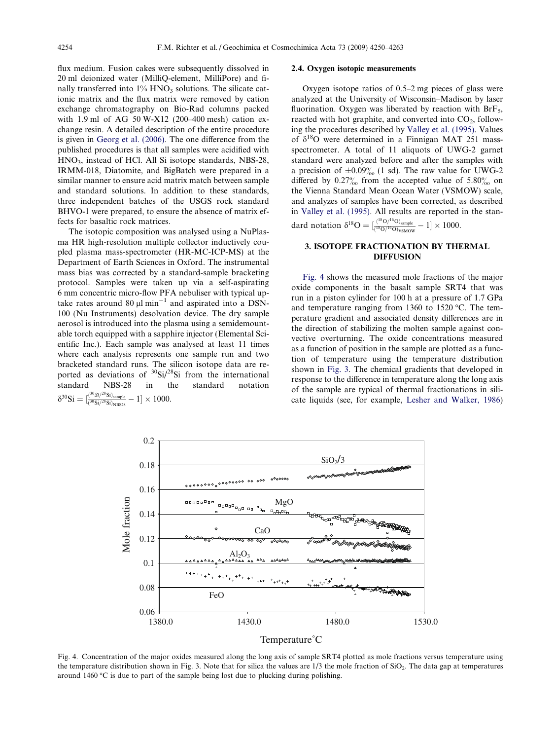<span id="page-4-0"></span>flux medium. Fusion cakes were subsequently dissolved in 20 ml deionized water (MilliQ-element, MilliPore) and finally transferred into  $1\%$  HNO<sub>3</sub> solutions. The silicate cationic matrix and the flux matrix were removed by cation exchange chromatography on Bio-Rad columns packed with 1.9 ml of AG 50 W-X12 (200–400 mesh) cation exchange resin. A detailed description of the entire procedure is given in [Georg et al. \(2006\).](#page-13-0) The one difference from the published procedures is that all samples were acidified with HNO3, instead of HCl. All Si isotope standards, NBS-28, IRMM-018, Diatomite, and BigBatch were prepared in a similar manner to ensure acid matrix match between sample and standard solutions. In addition to these standards, three independent batches of the USGS rock standard BHVO-1 were prepared, to ensure the absence of matrix effects for basaltic rock matrices.

The isotopic composition was analysed using a NuPlasma HR high-resolution multiple collector inductively coupled plasma mass-spectrometer (HR-MC-ICP-MS) at the Department of Earth Sciences in Oxford. The instrumental mass bias was corrected by a standard-sample bracketing protocol. Samples were taken up via a self-aspirating 6 mm concentric micro-flow PFA nebuliser with typical uptake rates around 80  $\mu$ l min<sup>-1</sup> and aspirated into a DSN-100 (Nu Instruments) desolvation device. The dry sample aerosol is introduced into the plasma using a semidemountable torch equipped with a sapphire injector (Elemental Scientific Inc.). Each sample was analysed at least 11 times where each analysis represents one sample run and two bracketed standard runs. The silicon isotope data are reported as deviations of  $\frac{30}{5}$ i/28Si from the international standard NBS-28 in the standard notation  $\delta^{30}{\rm Si}=[\frac{{}^{(30}{\rm Si}/^{28}{\rm Si})_{\rm sample}}{{}^{(30}{\rm Si}/^{28}{\rm Si})_{\rm NBS28}}-1]\times 1000.$ 

### 2.4. Oxygen isotopic measurements

Oxygen isotope ratios of 0.5–2 mg pieces of glass were analyzed at the University of Wisconsin–Madison by laser fluorination. Oxygen was liberated by reaction with  $Brf<sub>5</sub>$ , reacted with hot graphite, and converted into  $CO<sub>2</sub>$ , following the procedures described by [Valley et al. \(1995\)](#page-13-0). Values of  $\delta^{18}$ O were determined in a Finnigan MAT 251 massspectrometer. A total of 11 aliquots of UWG-2 garnet standard were analyzed before and after the samples with a precision of  $\pm 0.09\%_{00}$  (1 sd). The raw value for UWG-2 differed by  $0.27\%$  from the accepted value of 5.80% on the Vienna Standard Mean Ocean Water (VSMOW) scale, and analyzes of samples have been corrected, as described in [Valley et al. \(1995\).](#page-13-0) All results are reported in the standard notation  $\delta^{18}O = \left[\frac{(^{18}O/^{16}O)_{\text{sample}}}{(^{18}O/^{16}O)_{\text{VSMOW}}} - 1\right] \times 1000.$ 

## 3. ISOTOPE FRACTIONATION BY THERMAL DIFFUSION

Fig. 4 shows the measured mole fractions of the major oxide components in the basalt sample SRT4 that was run in a piston cylinder for 100 h at a pressure of 1.7 GPa and temperature ranging from  $1360$  to  $1520$  °C. The temperature gradient and associated density differences are in the direction of stabilizing the molten sample against convective overturning. The oxide concentrations measured as a function of position in the sample are plotted as a function of temperature using the temperature distribution shown in [Fig. 3](#page-3-0). The chemical gradients that developed in response to the difference in temperature along the long axis of the sample are typical of thermal fractionations in silicate liquids (see, for example, [Lesher and Walker, 1986](#page-13-0))



Fig. 4. Concentration of the major oxides measured along the long axis of sample SRT4 plotted as mole fractions versus temperature using the temperature distribution shown in Fig. 3. Note that for silica the values are  $1/3$  the mole fraction of  $SiO_2$ . The data gap at temperatures around 1460  $\degree$ C is due to part of the sample being lost due to plucking during polishing.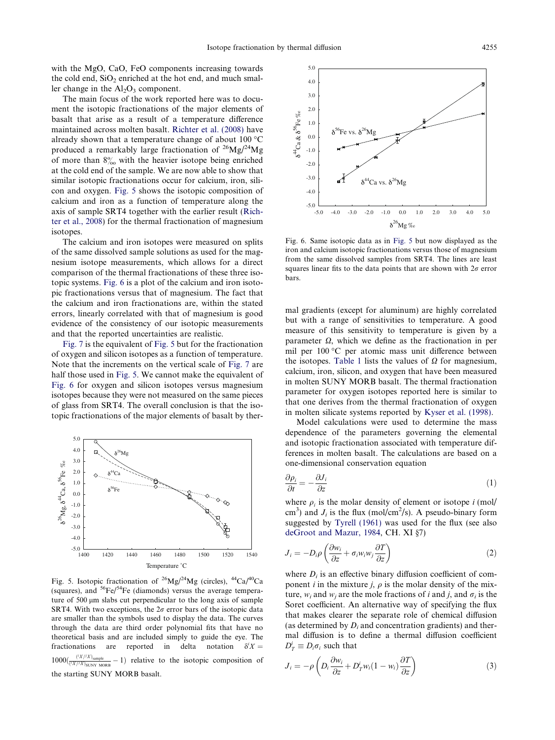<span id="page-5-0"></span>with the MgO, CaO, FeO components increasing towards the cold end,  $SiO<sub>2</sub>$  enriched at the hot end, and much smaller change in the  $Al_2O_3$  component.

The main focus of the work reported here was to document the isotopic fractionations of the major elements of basalt that arise as a result of a temperature difference maintained across molten basalt. [Richter et al. \(2008\)](#page-13-0) have already shown that a temperature change of about  $100 °C$ produced a remarkably large fractionation of  $^{26}Mg/^{24}Mg$ of more than  $8\%$  with the heavier isotope being enriched at the cold end of the sample. We are now able to show that similar isotopic fractionations occur for calcium, iron, silicon and oxygen. Fig. 5 shows the isotopic composition of calcium and iron as a function of temperature along the axis of sample SRT4 together with the earlier result [\(Rich](#page-13-0)[ter et al., 2008\)](#page-13-0) for the thermal fractionation of magnesium isotopes.

The calcium and iron isotopes were measured on splits of the same dissolved sample solutions as used for the magnesium isotope measurements, which allows for a direct comparison of the thermal fractionations of these three isotopic systems. Fig. 6 is a plot of the calcium and iron isotopic fractionations versus that of magnesium. The fact that the calcium and iron fractionations are, within the stated errors, linearly correlated with that of magnesium is good evidence of the consistency of our isotopic measurements and that the reported uncertainties are realistic.

[Fig. 7](#page-6-0) is the equivalent of Fig. 5 but for the fractionation of oxygen and silicon isotopes as a function of temperature. Note that the increments on the vertical scale of [Fig. 7](#page-6-0) are half those used in Fig. 5. We cannot make the equivalent of Fig. 6 for oxygen and silicon isotopes versus magnesium isotopes because they were not measured on the same pieces of glass from SRT4. The overall conclusion is that the isotopic fractionations of the major elements of basalt by ther-



Fig. 5. Isotopic fractionation of 26Mg/24Mg (circles), 44Ca/40Ca (squares), and  $56Fe/54Fe$  (diamonds) versus the average temperature of  $500 \mu m$  slabs cut perpendicular to the long axis of sample SRT4. With two exceptions, the  $2\sigma$  error bars of the isotopic data are smaller than the symbols used to display the data. The curves through the data are third order polynomial fits that have no theoretical basis and are included simply to guide the eye. The fractionations are reported in delta notation  $\delta^i X =$  $1000\left(\frac{f(X,Y)}{(f(X)/X)_{\text{SUNY MORB}}}-1\right)$  relative to the isotopic composition of the starting SUNY MORB basalt.



Fig. 6. Same isotopic data as in Fig. 5 but now displayed as the iron and calcium isotopic fractionations versus those of magnesium from the same dissolved samples from SRT4. The lines are least squares linear fits to the data points that are shown with  $2\sigma$  error bars.

mal gradients (except for aluminum) are highly correlated but with a range of sensitivities to temperature. A good measure of this sensitivity to temperature is given by a parameter  $\Omega$ , which we define as the fractionation in per mil per 100 °C per atomic mass unit difference between the isotopes. [Table 1](#page-1-0) lists the values of  $\Omega$  for magnesium, calcium, iron, silicon, and oxygen that have been measured in molten SUNY MORB basalt. The thermal fractionation parameter for oxygen isotopes reported here is similar to that one derives from the thermal fractionation of oxygen in molten silicate systems reported by [Kyser et al. \(1998\)](#page-13-0).

Model calculations were used to determine the mass dependence of the parameters governing the elemental and isotopic fractionation associated with temperature differences in molten basalt. The calculations are based on a one-dimensional conservation equation

$$
\frac{\partial \rho_i}{\partial t} = -\frac{\partial J_i}{\partial z} \tag{1}
$$

where  $\rho_i$  is the molar density of element or isotope i (mol/ cm<sup>3</sup>) and  $J_i$  is the flux (mol/cm<sup>2</sup>/s). A pseudo-binary form suggested by [Tyrell \(1961\)](#page-13-0) was used for the flux (see also [deGroot and Mazur, 1984](#page-13-0), CH. XI §7)

$$
J_i = -D_i \rho \left( \frac{\partial w_i}{\partial z} + \sigma_i w_i w_j \frac{\partial T}{\partial z} \right)
$$
 (2)

where  $D_i$  is an effective binary diffusion coefficient of component *i* in the mixture *j*,  $\rho$  is the molar density of the mixture,  $w_i$  and  $w_j$  are the mole fractions of i and j, and  $\sigma_i$  is the Soret coefficient. An alternative way of specifying the flux that makes clearer the separate role of chemical diffusion (as determined by  $D_i$  and concentration gradients) and thermal diffusion is to define a thermal diffusion coefficient  $D_T^i \equiv D_i \sigma_i$  such that

$$
J_i = -\rho \left( D_i \frac{\partial w_i}{\partial z} + D_T^i w_i (1 - w_i) \frac{\partial T}{\partial z} \right)
$$
 (3)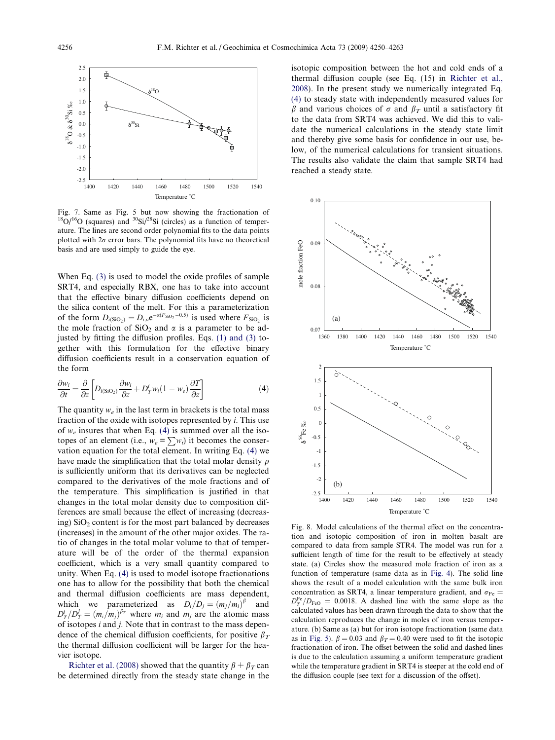<span id="page-6-0"></span>

Fig. 7. Same as Fig. 5 but now showing the fractionation of  $^{18}O/^{16}O$  (squares) and  $^{30}Si/^{28}Si$  (circles) as a function of temperature. The lines are second order polynomial fits to the data points plotted with  $2\sigma$  error bars. The polynomial fits have no theoretical basis and are used simply to guide the eye.

When Eq. [\(3\)](#page-5-0) is used to model the oxide profiles of sample SRT4, and especially RBX, one has to take into account that the effective binary diffusion coefficients depend on the silica content of the melt. For this a parameterization of the form  $D_{i(SiO_2)} = D_{i,o}e^{-\alpha(F_{SiO_2} - 0.5)}$  is used where  $F_{SiO_2}$  is the mole fraction of  $SiO<sub>2</sub>$  and  $\alpha$  is a parameter to be adjusted by fitting the diffusion profiles. Eqs.  $(1)$  and  $(3)$  together with this formulation for the effective binary diffusion coefficients result in a conservation equation of the form

$$
\frac{\partial w_i}{\partial t} = \frac{\partial}{\partial z} \left[ D_{i(SiO_2)} \frac{\partial w_i}{\partial z} + D_T^i w_i (1 - w_e) \frac{\partial T}{\partial z} \right]
$$
(4)

The quantity  $w_e$  in the last term in brackets is the total mass fraction of the oxide with isotopes represented by  $i$ . This use of  $w_e$  insures that when Eq. (4) is summed over all the isotopes of an element (i.e.,  $w_e = \sum w_i$ ) it becomes the conservation equation for the total element. In writing Eq. (4) we have made the simplification that the total molar density  $\rho$ is sufficiently uniform that its derivatives can be neglected compared to the derivatives of the mole fractions and of the temperature. This simplification is justified in that changes in the total molar density due to composition differences are small because the effect of increasing (decreasing)  $SiO<sub>2</sub>$  content is for the most part balanced by decreases (increases) in the amount of the other major oxides. The ratio of changes in the total molar volume to that of temperature will be of the order of the thermal expansion coefficient, which is a very small quantity compared to unity. When Eq. (4) is used to model isotope fractionations one has to allow for the possibility that both the chemical and thermal diffusion coefficients are mass dependent, which we parameterized as  $D_i/D_j = (m_j/m_i)^{\beta}$  and  $D_T^i/D_T^j = (m_i/m_j)^{\beta_T}$  where  $m_i$  and  $m_j$  are the atomic mass of isotopes  $i$  and  $j$ . Note that in contrast to the mass dependence of the chemical diffusion coefficients, for positive  $\beta_T$ the thermal diffusion coefficient will be larger for the heavier isotope.

[Richter et al. \(2008\)](#page-13-0) showed that the quantity  $\beta + \beta_T$  can be determined directly from the steady state change in the

isotopic composition between the hot and cold ends of a thermal diffusion couple (see Eq. (15) in [Richter et al.,](#page-13-0) [2008\)](#page-13-0). In the present study we numerically integrated Eq. (4) to steady state with independently measured values for  $\beta$  and various choices of  $\sigma$  and  $\beta_T$  until a satisfactory fit to the data from SRT4 was achieved. We did this to validate the numerical calculations in the steady state limit and thereby give some basis for confidence in our use, below, of the numerical calculations for transient situations. The results also validate the claim that sample SRT4 had reached a steady state.



Fig. 8. Model calculations of the thermal effect on the concentration and isotopic composition of iron in molten basalt are compared to data from sample STR4. The model was run for a sufficient length of time for the result to be effectively at steady state. (a) Circles show the measured mole fraction of iron as a function of temperature (same data as in [Fig. 4](#page-4-0)). The solid line shows the result of a model calculation with the same bulk iron concentration as SRT4, a linear temperature gradient, and  $\sigma_{\text{Fe}} =$  $D_T^{\text{Fe}}/D_{\text{FeO}} = 0.0018$ . A dashed line with the same slope as the calculated values has been drawn through the data to show that the calculation reproduces the change in moles of iron versus temperature. (b) Same as (a) but for iron isotope fractionation (same data as in [Fig. 5\)](#page-5-0).  $\beta = 0.03$  and  $\beta_T = 0.40$  were used to fit the isotopic fractionation of iron. The offset between the solid and dashed lines is due to the calculation assuming a uniform temperature gradient while the temperature gradient in SRT4 is steeper at the cold end of the diffusion couple (see text for a discussion of the offset).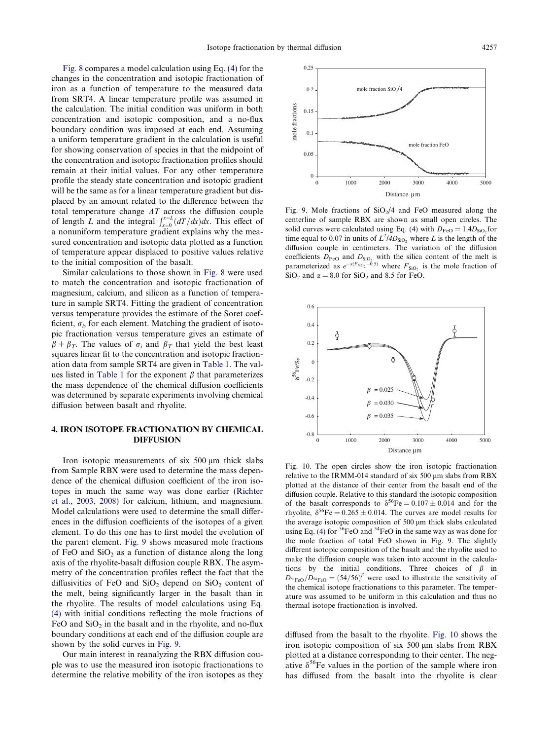<span id="page-7-0"></span>[Fig. 8](#page-6-0) compares a model calculation using Eq. [\(4\)](#page-6-0) for the changes in the concentration and isotopic fractionation of iron as a function of temperature to the measured data from SRT4. A linear temperature profile was assumed in the calculation. The initial condition was uniform in both concentration and isotopic composition, and a no-flux boundary condition was imposed at each end. Assuming a uniform temperature gradient in the calculation is useful for showing conservation of species in that the midpoint of the concentration and isotopic fractionation profiles should remain at their initial values. For any other temperature profile the steady state concentration and isotopic gradient will be the same as for a linear temperature gradient but displaced by an amount related to the difference between the total temperature change  $\Delta T$  across the diffusion couple for the integral  $\int_{x=0}^{x=L} (dT/dx) dx$ . This effect of a nonuniform temperature gradient explains why the measured concentration and isotopic data plotted as a function of temperature appear displaced to positive values relative to the initial composition of the basalt.

Similar calculations to those shown in [Fig. 8](#page-6-0) were used to match the concentration and isotopic fractionation of magnesium, calcium, and silicon as a function of temperature in sample SRT4. Fitting the gradient of concentration versus temperature provides the estimate of the Soret coefficient,  $\sigma_i$ , for each element. Matching the gradient of isotopic fractionation versus temperature gives an estimate of  $\beta + \beta_T$ . The values of  $\sigma_i$  and  $\beta_T$  that yield the best least squares linear fit to the concentration and isotopic fractionation data from sample SRT4 are given in [Table 1](#page-1-0). The val-ues listed in [Table 1](#page-1-0) for the exponent  $\beta$  that parameterizes the mass dependence of the chemical diffusion coefficients was determined by separate experiments involving chemical diffusion between basalt and rhyolite.

# 4. IRON ISOTOPE FRACTIONATION BY CHEMICAL DIFFUSION

Iron isotopic measurements of six  $500 \mu m$  thick slabs from Sample RBX were used to determine the mass dependence of the chemical diffusion coefficient of the iron isotopes in much the same way was done earlier ([Richter](#page-13-0) [et al., 2003, 2008\)](#page-13-0) for calcium, lithium, and magnesium. Model calculations were used to determine the small differences in the diffusion coefficients of the isotopes of a given element. To do this one has to first model the evolution of the parent element. Fig. 9 shows measured mole fractions of FeO and  $SiO<sub>2</sub>$  as a function of distance along the long axis of the rhyolite-basalt diffusion couple RBX. The asymmetry of the concentration profiles reflect the fact that the diffusivities of FeO and  $SiO<sub>2</sub>$  depend on  $SiO<sub>2</sub>$  content of the melt, being significantly larger in the basalt than in the rhyolite. The results of model calculations using Eq. [\(4\)](#page-6-0) with initial conditions reflecting the mole fractions of FeO and  $SiO<sub>2</sub>$  in the basalt and in the rhyolite, and no-flux boundary conditions at each end of the diffusion couple are shown by the solid curves in Fig. 9.

Our main interest in reanalyzing the RBX diffusion couple was to use the measured iron isotopic fractionations to determine the relative mobility of the iron isotopes as they



Fig. 9. Mole fractions of  $SiO<sub>2</sub>/4$  and FeO measured along the centerline of sample RBX are shown as small open circles. The solid curves were calculated using Eq. [\(4\)](#page-6-0) with  $D_{\text{FeO}} = 1.4D_{\text{SiO}}$  for time equal to 0.07 in units of  $L^2/4D_{\text{SiO}_2}$  where L is the length of the diffusion couple in centimeters. The variation of the diffusion coefficients  $D_{\text{FeO}}$  and  $D_{\text{SiO}_2}$  with the silica content of the melt is parameterized as  $e^{-\alpha(F_{\text{SiO}_2}-0.5)}$  where  $F_{\text{SiO}_2}$  is the mole fraction of  $SiO<sub>2</sub>$  and  $\alpha = 8.0$  for  $SiO<sub>2</sub>$  and 8.5 for FeO.



Fig. 10. The open circles show the iron isotopic fractionation relative to the IRMM-014 standard of six 500 µm slabs from RBX plotted at the distance of their center from the basalt end of the diffusion couple. Relative to this standard the isotopic composition of the basalt corresponds to  $\delta^{56}Fe = 0.107 \pm 0.014$  and for the rhyolite,  $\delta^{56}$ Fe = 0.265 ± 0.014. The curves are model results for the average isotopic composition of 500 µm thick slabs calculated using Eq. [\(4\)](#page-6-0) for  ${}^{56}FeO$  and  ${}^{54}FeO$  in the same way as was done for the mole fraction of total FeO shown in Fig. 9. The slightly different isotopic composition of the basalt and the rhyolite used to make the diffusion couple was taken into account in the calculations by the initial conditions. Three choices of  $\beta$  in  $D_{\text{56FeO}}/D_{\text{54FeO}} = (54/56)^{\beta}$  were used to illustrate the sensitivity of the chemical isotope fractionations to this parameter. The temperature was assumed to be uniform in this calculation and thus no thermal isotope fractionation is involved.

diffused from the basalt to the rhyolite. Fig. 10 shows the iron isotopic composition of six  $500 \mu m$  slabs from RBX plotted at a distance corresponding to their center. The negative  $\delta^{56}$ Fe values in the portion of the sample where iron has diffused from the basalt into the rhyolite is clear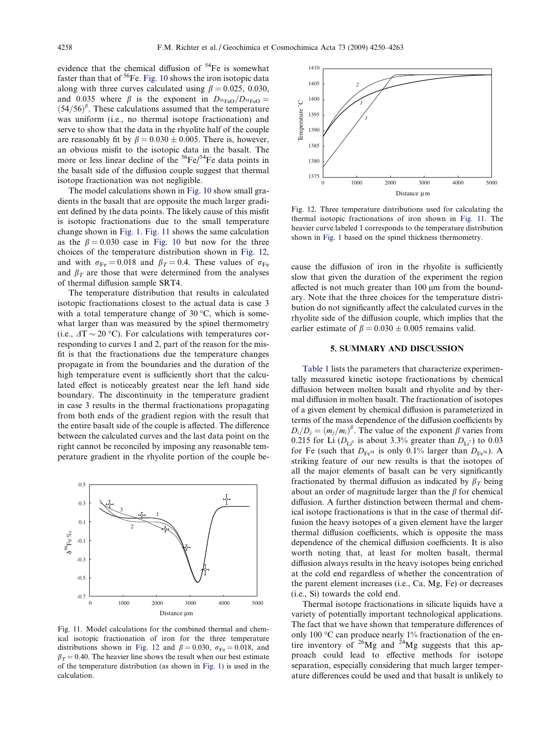evidence that the chemical diffusion of <sup>54</sup>Fe is somewhat faster than that of  ${}^{56}Fe$ . [Fig. 10](#page-7-0) shows the iron isotopic data along with three curves calculated using  $\beta = 0.025, 0.030$ , and 0.035 where  $\beta$  is the exponent in  $D_{{}^{56}FeO}/D_{{}^{54}FeO}$  =  $(54/56)^{\beta}$ . These calculations assumed that the temperature was uniform (i.e., no thermal isotope fractionation) and serve to show that the data in the rhyolite half of the couple are reasonably fit by  $\beta = 0.030 \pm 0.005$ . There is, however, an obvious misfit to the isotopic data in the basalt. The more or less linear decline of the  ${}^{56}Fe/{}^{54}Fe$  data points in the basalt side of the diffusion couple suggest that thermal isotope fractionation was not negligible.

The model calculations shown in [Fig. 10](#page-7-0) show small gradients in the basalt that are opposite the much larger gradient defined by the data points. The likely cause of this misfit is isotopic fractionations due to the small temperature change shown in [Fig. 1.](#page-2-0) Fig. 11 shows the same calculation as the  $\beta = 0.030$  case in [Fig. 10](#page-7-0) but now for the three choices of the temperature distribution shown in Fig. 12, and with  $\sigma_{\text{Fe}} = 0.018$  and  $\beta_T = 0.4$ . These values of  $\sigma_{\text{Fe}}$ and  $\beta_T$  are those that were determined from the analyses of thermal diffusion sample SRT4.

The temperature distribution that results in calculated isotopic fractionations closest to the actual data is case 3 with a total temperature change of  $30^{\circ}$ C, which is somewhat larger than was measured by the spinel thermometry (i.e.,  $\Delta T \sim 20 \degree C$ ). For calculations with temperatures corresponding to curves 1 and 2, part of the reason for the misfit is that the fractionations due the temperature changes propagate in from the boundaries and the duration of the high temperature event is sufficiently short that the calculated effect is noticeably greatest near the left hand side boundary. The discontinuity in the temperature gradient in case 3 results in the thermal fractionations propagating from both ends of the gradient region with the result that the entire basalt side of the couple is affected. The difference between the calculated curves and the last data point on the right cannot be reconciled by imposing any reasonable temperature gradient in the rhyolite portion of the couple be-



Fig. 11. Model calculations for the combined thermal and chemical isotopic fractionation of iron for the three temperature distributions shown in Fig. 12 and  $\beta = 0.030$ ,  $\sigma_{\text{Fe}} = 0.018$ , and  $\beta_T = 0.40$ . The heavier line shows the result when our best estimate of the temperature distribution (as shown in [Fig. 1\)](#page-2-0) is used in the calculation.



Fig. 12. Three temperature distributions used for calculating the thermal isotopic fractionations of iron shown in Fig. 11. The heavier curve labeled 1 corresponds to the temperature distribution shown in [Fig. 1](#page-2-0) based on the spinel thickness thermometry.

cause the diffusion of iron in the rhyolite is sufficiently slow that given the duration of the experiment the region affected is not much greater than  $100 \mu m$  from the boundary. Note that the three choices for the temperature distribution do not significantly affect the calculated curves in the rhyolite side of the diffusion couple, which implies that the earlier estimate of  $\beta = 0.030 \pm 0.005$  remains valid.

## 5. SUMMARY AND DISCUSSION

[Table 1](#page-1-0) lists the parameters that characterize experimentally measured kinetic isotope fractionations by chemical diffusion between molten basalt and rhyolite and by thermal diffusion in molten basalt. The fractionation of isotopes of a given element by chemical diffusion is parameterized in terms of the mass dependence of the diffusion coefficients by  $D_i/D_j = (m_j/m_i)^{\beta}$ . The value of the exponent  $\beta$  varies from 0.215 for Li  $(D_{\text{Li}^6}$  is about 3.3% greater than  $D_{\text{Li}^7}$  to 0.03 for Fe (such that  $D_{Fe^{54}}$  is only 0.1% larger than  $D_{Fe^{56}}$ ). A striking feature of our new results is that the isotopes of all the major elements of basalt can be very significantly fractionated by thermal diffusion as indicated by  $\beta_T$  being about an order of magnitude larger than the  $\beta$  for chemical diffusion. A further distinction between thermal and chemical isotope fractionations is that in the case of thermal diffusion the heavy isotopes of a given element have the larger thermal diffusion coefficients, which is opposite the mass dependence of the chemical diffusion coefficients. It is also worth noting that, at least for molten basalt, thermal diffusion always results in the heavy isotopes being enriched at the cold end regardless of whether the concentration of the parent element increases (i.e., Ca, Mg, Fe) or decreases (i.e., Si) towards the cold end.

Thermal isotope fractionations in silicate liquids have a variety of potentially important technological applications. The fact that we have shown that temperature differences of only 100  $\degree$ C can produce nearly 1% fractionation of the entire inventory of  $26Mg$  and  $24Mg$  suggests that this approach could lead to effective methods for isotope separation, especially considering that much larger temperature differences could be used and that basalt is unlikely to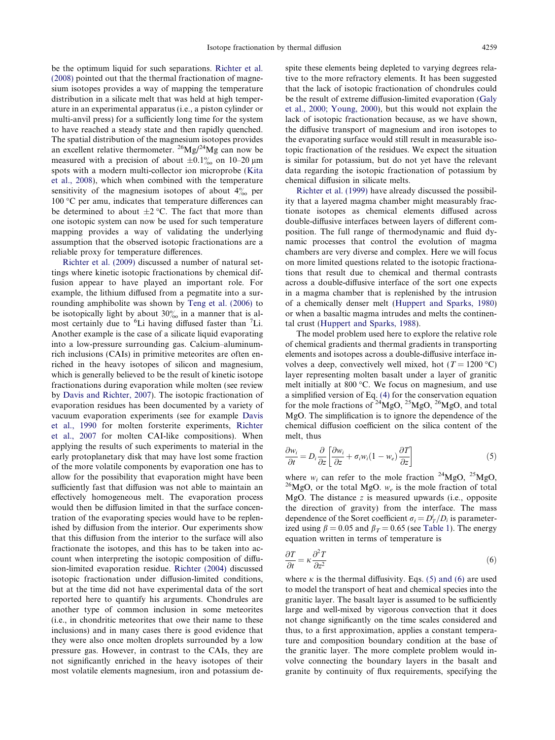<span id="page-9-0"></span>be the optimum liquid for such separations. [Richter et al.](#page-13-0) [\(2008\)](#page-13-0) pointed out that the thermal fractionation of magnesium isotopes provides a way of mapping the temperature distribution in a silicate melt that was held at high temperature in an experimental apparatus (i.e., a piston cylinder or multi-anvil press) for a sufficiently long time for the system to have reached a steady state and then rapidly quenched. The spatial distribution of the magnesium isotopes provides an excellent relative thermometer.  $^{26}Mg^{24}Mg$  can now be measured with a precision of about  $\pm 0.1\%$  on 10–20 µm spots with a modern multi-collector ion microprobe [\(Kita](#page-13-0) [et al., 2008](#page-13-0)), which when combined with the temperature sensitivity of the magnesium isotopes of about  $4\%$  per  $100 \, \textdegree$ C per amu, indicates that temperature differences can be determined to about  $\pm 2$  °C. The fact that more than one isotopic system can now be used for such temperature mapping provides a way of validating the underlying assumption that the observed isotopic fractionations are a reliable proxy for temperature differences.

[Richter et al. \(2009\)](#page-13-0) discussed a number of natural settings where kinetic isotopic fractionations by chemical diffusion appear to have played an important role. For example, the lithium diffused from a pegmatite into a surrounding amphibolite was shown by [Teng et al. \(2006\)](#page-13-0) to be isotopically light by about  $30\%$  in a manner that is almost certainly due to <sup>6</sup>Li having diffused faster than <sup>7</sup>Li. Another example is the case of a silicate liquid evaporating into a low-pressure surrounding gas. Calcium–aluminumrich inclusions (CAIs) in primitive meteorites are often enriched in the heavy isotopes of silicon and magnesium, which is generally believed to be the result of kinetic isotope fractionations during evaporation while molten (see review by [Davis and Richter, 2007](#page-13-0)). The isotopic fractionation of evaporation residues has been documented by a variety of vacuum evaporation experiments (see for example [Davis](#page-13-0) [et al., 1990](#page-13-0) for molten forsterite experiments, [Richter](#page-13-0) [et al., 2007](#page-13-0) for molten CAI-like compositions). When applying the results of such experiments to material in the early protoplanetary disk that may have lost some fraction of the more volatile components by evaporation one has to allow for the possibility that evaporation might have been sufficiently fast that diffusion was not able to maintain an effectively homogeneous melt. The evaporation process would then be diffusion limited in that the surface concentration of the evaporating species would have to be replenished by diffusion from the interior. Our experiments show that this diffusion from the interior to the surface will also fractionate the isotopes, and this has to be taken into account when interpreting the isotopic composition of diffusion-limited evaporation residue. [Richter \(2004\)](#page-13-0) discussed isotopic fractionation under diffusion-limited conditions, but at the time did not have experimental data of the sort reported here to quantify his arguments. Chondrules are another type of common inclusion in some meteorites (i.e., in chondritic meteorites that owe their name to these inclusions) and in many cases there is good evidence that they were also once molten droplets surrounded by a low pressure gas. However, in contrast to the CAIs, they are not significantly enriched in the heavy isotopes of their most volatile elements magnesium, iron and potassium despite these elements being depleted to varying degrees relative to the more refractory elements. It has been suggested that the lack of isotopic fractionation of chondrules could be the result of extreme diffusion-limited evaporation ([Galy](#page-13-0) [et al., 2000; Young, 2000](#page-13-0)), but this would not explain the lack of isotopic fractionation because, as we have shown, the diffusive transport of magnesium and iron isotopes to the evaporating surface would still result in measurable isotopic fractionation of the residues. We expect the situation is similar for potassium, but do not yet have the relevant data regarding the isotopic fractionation of potassium by chemical diffusion in silicate melts.

[Richter et al. \(1999\)](#page-13-0) have already discussed the possibility that a layered magma chamber might measurably fractionate isotopes as chemical elements diffused across double-diffusive interfaces between layers of different composition. The full range of thermodynamic and fluid dynamic processes that control the evolution of magma chambers are very diverse and complex. Here we will focus on more limited questions related to the isotopic fractionations that result due to chemical and thermal contrasts across a double-diffusive interface of the sort one expects in a magma chamber that is replenished by the intrusion of a chemically denser melt [\(Huppert and Sparks, 1980](#page-13-0)) or when a basaltic magma intrudes and melts the continental crust ([Huppert and Sparks, 1988\)](#page-13-0).

The model problem used here to explore the relative role of chemical gradients and thermal gradients in transporting elements and isotopes across a double-diffusive interface involves a deep, convectively well mixed, hot ( $T = 1200 \degree C$ ) layer representing molten basalt under a layer of granitic melt initially at  $800 \degree C$ . We focus on magnesium, and use a simplified version of Eq. [\(4\)](#page-6-0) for the conservation equation for the mole fractions of  $^{24}MgO$ ,  $^{25}MgO$ ,  $^{26}MgO$ , and total MgO. The simplification is to ignore the dependence of the chemical diffusion coefficient on the silica content of the melt, thus

$$
\frac{\partial w_i}{\partial t} = D_i \frac{\partial}{\partial z} \left[ \frac{\partial w_i}{\partial z} + \sigma_i w_i (1 - w_e) \frac{\partial T}{\partial z} \right]
$$
(5)

where  $w_i$  can refer to the mole fraction <sup>24</sup>MgO, <sup>25</sup>MgO, <sup>26</sup>MgO, or the total MgO.  $w_e$  is the mole fraction of total MgO. The distance  $z$  is measured upwards (i.e., opposite the direction of gravity) from the interface. The mass dependence of the Soret coefficient  $\sigma_i = D_T^i/D_i$  is parameterized using  $\beta = 0.05$  and  $\beta_T = 0.65$  (see [Table 1](#page-1-0)). The energy equation written in terms of temperature is

$$
\frac{\partial T}{\partial t} = \kappa \frac{\partial^2 T}{\partial z^2} \tag{6}
$$

where  $\kappa$  is the thermal diffusivity. Eqs. (5) and (6) are used to model the transport of heat and chemical species into the granitic layer. The basalt layer is assumed to be sufficiently large and well-mixed by vigorous convection that it does not change significantly on the time scales considered and thus, to a first approximation, applies a constant temperature and composition boundary condition at the base of the granitic layer. The more complete problem would involve connecting the boundary layers in the basalt and granite by continuity of flux requirements, specifying the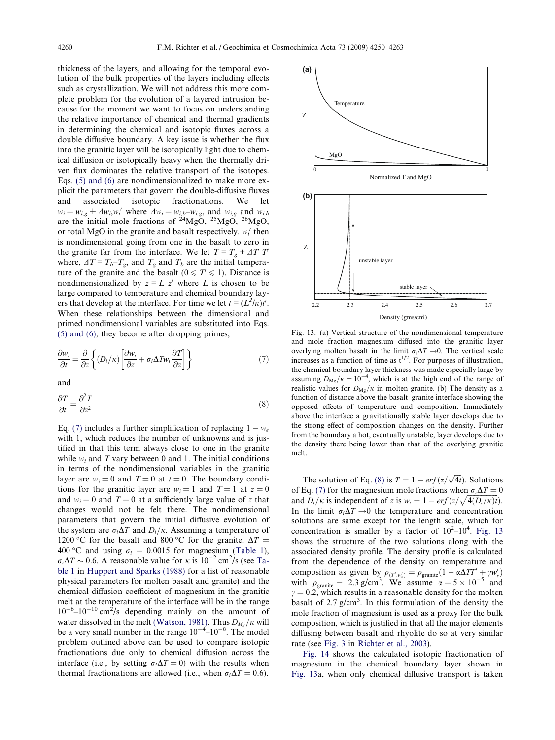<span id="page-10-0"></span>thickness of the layers, and allowing for the temporal evolution of the bulk properties of the layers including effects such as crystallization. We will not address this more complete problem for the evolution of a layered intrusion because for the moment we want to focus on understanding the relative importance of chemical and thermal gradients in determining the chemical and isotopic fluxes across a double diffusive boundary. A key issue is whether the flux into the granitic layer will be isotopically light due to chemical diffusion or isotopically heavy when the thermally driven flux dominates the relative transport of the isotopes. Eqs. [\(5\) and \(6\)](#page-9-0) are nondimensionalized to make more explicit the parameters that govern the double-diffusive fluxes and associated isotopic fractionations. We let  $w_i = w_{i,g} + \Delta w_i, w_i'$  where  $\Delta w_i = w_{i,b} - w_{i,g}$ , and  $w_{i,g}$  and  $w_{i,b}$ are the initial mole fractions of  $^{24}$ MgO,  $^{25}$ MgO,  $^{26}$ MgO, or total MgO in the granite and basalt respectively.  $w_i$  then is nondimensional going from one in the basalt to zero in the granite far from the interface. We let  $T = T_g + \Delta T T$ where,  $\Delta T = T_b - T_g$ , and  $T_g$  and  $T_b$  are the initial temperature of the granite and the basalt ( $0 \le T \le 1$ ). Distance is nondimensionalized by  $z = L z'$  where L is chosen to be large compared to temperature and chemical boundary layers that develop at the interface. For time we let  $t = (L^2/\kappa)t'$ . When these relationships between the dimensional and primed nondimensional variables are substituted into Eqs. [\(5\) and \(6\)](#page-9-0), they become after dropping primes,

$$
\frac{\partial w_i}{\partial t} = \frac{\partial}{\partial z} \left\{ (D_i/\kappa) \left[ \frac{\partial w_i}{\partial z} + \sigma_i \Delta T w_i \frac{\partial T}{\partial z} \right] \right\} \tag{7}
$$

and

$$
\frac{\partial T}{\partial t} = \frac{\partial^2 T}{\partial z^2} \tag{8}
$$

Eq. (7) includes a further simplification of replacing  $1 - w_e$ with 1, which reduces the number of unknowns and is justified in that this term always close to one in the granite while  $w_i$  and T vary between 0 and 1. The initial conditions in terms of the nondimensional variables in the granitic layer are  $w_i = 0$  and  $T = 0$  at  $t = 0$ . The boundary conditions for the granitic layer are  $w_i = 1$  and  $T = 1$  at  $z = 0$ and  $w_i = 0$  and  $T = 0$  at a sufficiently large value of z that changes would not be felt there. The nondimensional parameters that govern the initial diffusive evolution of the system are  $\sigma_i\Delta T$  and  $D_i/\kappa$ . Assuming a temperature of 1200 °C for the basalt and 800 °C for the granite,  $\Delta T =$ 400 °C and using  $\sigma_i = 0.0015$  for magnesium ([Table 1\)](#page-1-0),  $\sigma_i \Delta T \sim 0.6$ . A reasonable value for  $\kappa$  is  $10^{-2}$  cm<sup>2</sup>/s (see [Ta](#page-1-0)[ble 1](#page-1-0) in [Huppert and Sparks \(1988\)](#page-13-0) for a list of reasonable physical parameters for molten basalt and granite) and the chemical diffusion coefficient of magnesium in the granitic melt at the temperature of the interface will be in the range  $10^{-6}$ - $10^{-10}$  cm<sup>2</sup>/s depending mainly on the amount of water dissolved in the melt [\(Watson, 1981\).](#page-13-0) Thus  $D_{Mg}/\kappa$  will be a very small number in the range  $10^{-4}$ – $10^{-8}$ . The model problem outlined above can be used to compare isotopic fractionations due only to chemical diffusion across the interface (i.e., by setting  $\sigma_i\Delta T = 0$ ) with the results when thermal fractionations are allowed (i.e., when  $\sigma_i\Delta T = 0.6$ ).



Fig. 13. (a) Vertical structure of the nondimensional temperature and mole fraction magnesium diffused into the granitic layer overlying molten basalt in the limit  $\sigma_i\Delta T \rightarrow 0$ . The vertical scale increases as a function of time as  $t^{1/2}$ . For purposes of illustration, the chemical boundary layer thickness was made especially large by assuming  $D_{\text{Mg}}/\kappa = 10^{-4}$ , which is at the high end of the range of realistic values for  $D_{\text{Mg}}/\kappa$  in molten granite. (b) The density as a function of distance above the basalt–granite interface showing the opposed effects of temperature and composition. Immediately above the interface a gravitationally stable layer develops due to the strong effect of composition changes on the density. Further from the boundary a hot, eventually unstable, layer develops due to the density there being lower than that of the overlying granitic melt.

The solution of Eq. (8) is  $T = 1 - erf(z/\sqrt{4t})$ . Solutions of Eq. (7) for the magnesium mole fractions when  $\sigma_i\Delta T = 0$ and  $D_i/\kappa$  is independent of z is  $w_i = 1 - erf(z/\sqrt{4(D_i/\kappa)t})$ . In the limit  $\sigma_i\Delta T \rightarrow 0$  the temperature and concentration solutions are same except for the length scale, which for concentration is smaller by a factor of  $10^2 - 10^4$ . Fig. 13 shows the structure of the two solutions along with the associated density profile. The density profile is calculated from the dependence of the density on temperature and composition as given by  $\rho_{(T',w'_e)} = \rho_{\text{granite}}(1 - \alpha \Delta TT' + \gamma w'_e)$ with  $\rho_{\text{granite}} = 2.3 \text{ g/cm}^3$ . We assume  $\alpha = 5 \times 10^{-5}$  and  $\gamma = 0.2$ , which results in a reasonable density for the molten basalt of  $2.7$  g/cm<sup>3</sup>. In this formulation of the density the mole fraction of magnesium is used as a proxy for the bulk composition, which is justified in that all the major elements diffusing between basalt and rhyolite do so at very similar rate (see [Fig. 3](#page-3-0) in [Richter et al., 2003](#page-13-0)).

[Fig. 14](#page-11-0) shows the calculated isotopic fractionation of magnesium in the chemical boundary layer shown in Fig. 13a, when only chemical diffusive transport is taken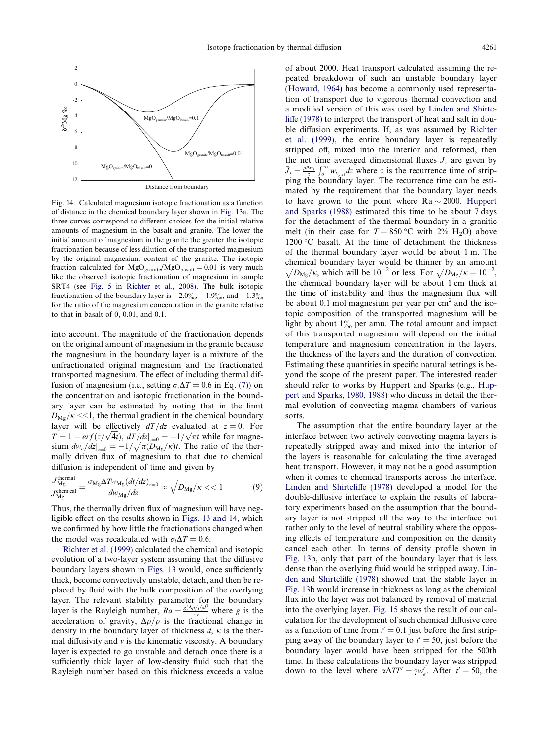<span id="page-11-0"></span>

Fig. 14. Calculated magnesium isotopic fractionation as a function of distance in the chemical boundary layer shown in [Fig. 13a](#page-10-0). The three curves correspond to different choices for the initial relative amounts of magnesium in the basalt and granite. The lower the initial amount of magnesium in the granite the greater the isotopic fractionation because of less dilution of the transported magnesium by the original magnesium content of the granite. The isotopic fraction calculated for  $MgO<sub>grant</sub>/MgO<sub>basalt</sub> = 0.01$  is very much like the observed isotopic fractionation of magnesium in sample SRT4 (see [Fig. 5](#page-5-0) in [Richter et al., 2008](#page-13-0)). The bulk isotopic fractionation of the boundary layer is  $-2.0\%_{00}$ ,  $-1.9\%_{00}$ , and  $-1.3\%$ for the ratio of the magnesium concentration in the granite relative to that in basalt of 0, 0.01, and 0.1.

into account. The magnitude of the fractionation depends on the original amount of magnesium in the granite because the magnesium in the boundary layer is a mixture of the unfractionated original magnesium and the fractionated transported magnesium. The effect of including thermal diffusion of magnesium (i.e., setting  $\sigma_i\Delta T = 0.6$  in Eq. [\(7\)\)](#page-10-0) on the concentration and isotopic fractionation in the boundary layer can be estimated by noting that in the limit  $D_{\text{Mg}}/\kappa \ll 1$ , the thermal gradient in the chemical boundary layer will be effectively  $dT/dz$  evaluated at  $z = 0$ . For tayer will be enectively at  $\int dz$  evaluated at  $z = 0$ . For  $T = 1 - erf(z/\sqrt{4t})$ ,  $dT/dz|_{z=0} = -1/\sqrt{\pi t}$  while for magne $d\theta = \frac{1}{2} \int \sqrt{\pi} \left( \frac{\partial u}{\partial x} \right) dx + \frac{1}{2} \left( \frac{u}{2} \right) \frac{du}{dx} + \frac{1}{2} \left( \frac{u}{2} \right) \frac{du}{dx} + \frac{1}{2} \left( \frac{u}{2} \right) \frac{du}{dx}$ . The ratio of the thermally driven flux of magnesium to that due to chemical diffusion is independent of time and given by

$$
\frac{J_{\rm Mg}^{\rm thermal}}{J_{\rm Mg}^{\rm chemical}} = \frac{\sigma_{\rm Mg} \Delta T w_{\rm Mg} (dt/dz)_{z=0}}{dw_{\rm Mg}/dz} \approx \sqrt{D_{\rm Mg}/\kappa} << 1
$$
 (9)

Thus, the thermally driven flux of magnesium will have negligible effect on the results shown in [Figs. 13 and 14,](#page-10-0) which we confirmed by how little the fractionations changed when the model was recalculated with  $\sigma_i\Delta T = 0.6$ .

[Richter et al. \(1999\)](#page-13-0) calculated the chemical and isotopic evolution of a two-layer system assuming that the diffusive boundary layers shown in [Figs. 13](#page-10-0) would, once sufficiently thick, become convectively unstable, detach, and then be replaced by fluid with the bulk composition of the overlying layer. The relevant stability parameter for the boundary layer is the Rayleigh number,  $Ra = \frac{g(\Delta\rho/\rho)d^3}{\kappa v}$  where g is the acceleration of gravity,  $\Delta \rho / \rho$  is the fractional change in density in the boundary layer of thickness  $d, \kappa$  is the thermal diffusivity and  $\nu$  is the kinematic viscosity. A boundary layer is expected to go unstable and detach once there is a sufficiently thick layer of low-density fluid such that the Rayleigh number based on this thickness exceeds a value

of about 2000. Heat transport calculated assuming the repeated breakdown of such an unstable boundary layer [\(Howard, 1964\)](#page-13-0) has become a commonly used representation of transport due to vigorous thermal convection and a modified version of this was used by [Linden and Shirtc](#page-13-0)[liffe \(1978\)](#page-13-0) to interpret the transport of heat and salt in double diffusion experiments. If, as was assumed by [Richter](#page-13-0) [et al. \(1999\),](#page-13-0) the entire boundary layer is repeatedly stripped off, mixed into the interior and reformed, then the net time averaged dimensional fluxes  $\bar{J}_i$  are given by  $\bar{J}_i = \frac{\rho \Delta w_i}{\tau} \int_0^\infty w_{i_{(z,\tau)}} dz$  where  $\tau$  is the recurrence time of stripping the boundary layer. The recurrence time can be estimated by the requirement that the boundary layer needs to have grown to the point where  $Ra \sim 2000$ . [Huppert](#page-13-0) [and Sparks \(1988\)](#page-13-0) estimated this time to be about 7 days for the detachment of the thermal boundary in a granitic melt (in their case for  $T = 850$  °C with 2% H<sub>2</sub>O) above  $1200$  °C basalt. At the time of detachment the thickness of the thermal boundary layer would be about 1 m. The chemical boundary layer would be thinner by an amount  $\sqrt{D_{\rm Mg}/\kappa}$ , which will be 10<sup>-2</sup> or less. For  $\sqrt{D_{\rm Mg}/\kappa} = 10^{-2}$ , the chemical boundary layer will be about 1 cm thick at the time of instability and thus the magnesium flux will be about 0.1 mol magnesium per year per  $\text{cm}^2$  and the isotopic composition of the transported magnesium will be light by about  $1\%$  per amu. The total amount and impact of this transported magnesium will depend on the initial temperature and magnesium concentration in the layers, the thickness of the layers and the duration of convection. Estimating these quantities in specific natural settings is beyond the scope of the present paper. The interested reader should refer to works by Huppert and Sparks (e.g., [Hup](#page-13-0)[pert and Sparks, 1980, 1988](#page-13-0)) who discuss in detail the thermal evolution of convecting magma chambers of various sorts.

The assumption that the entire boundary layer at the interface between two actively convecting magma layers is repeatedly stripped away and mixed into the interior of the layers is reasonable for calculating the time averaged heat transport. However, it may not be a good assumption when it comes to chemical transports across the interface. [Linden and Shirtcliffe \(1978\)](#page-13-0) developed a model for the double-diffusive interface to explain the results of laboratory experiments based on the assumption that the boundary layer is not stripped all the way to the interface but rather only to the level of neutral stability where the opposing effects of temperature and composition on the density cancel each other. In terms of density profile shown in [Fig. 13b](#page-10-0), only that part of the boundary layer that is less dense than the overlying fluid would be stripped away. [Lin](#page-13-0)[den and Shirtcliffe \(1978\)](#page-13-0) showed that the stable layer in [Fig. 13b](#page-10-0) would increase in thickness as long as the chemical flux into the layer was not balanced by removal of material into the overlying layer. [Fig. 15](#page-12-0) shows the result of our calculation for the development of such chemical diffusive core as a function of time from  $t' = 0.1$  just before the first stripping away of the boundary layer to  $t' = 50$ , just before the boundary layer would have been stripped for the 500th time. In these calculations the boundary layer was stripped down to the level where  $\alpha \Delta TT' = \gamma w_e'$ . After  $t' = 50$ , the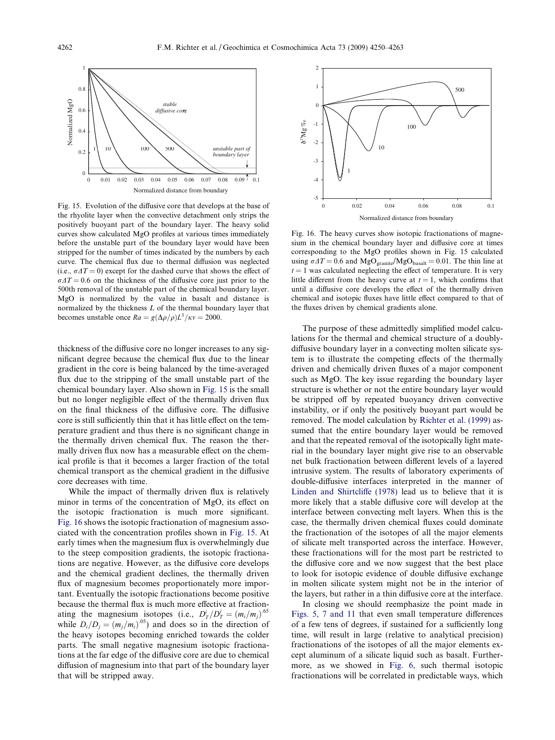<span id="page-12-0"></span>

Fig. 15. Evolution of the diffusive core that develops at the base of the rhyolite layer when the convective detachment only strips the positively buoyant part of the boundary layer. The heavy solid curves show calculated MgO profiles at various times immediately before the unstable part of the boundary layer would have been stripped for the number of times indicated by the numbers by each curve. The chemical flux due to thermal diffusion was neglected (i.e.,  $\sigma \Delta T = 0$ ) except for the dashed curve that shows the effect of  $\sigma \Delta T = 0.6$  on the thickness of the diffusive core just prior to the 500th removal of the unstable part of the chemical boundary layer. MgO is normalized by the value in basalt and distance is normalized by the thickness L of the thermal boundary layer that becomes unstable once  $Ra = g(\Delta \rho / \rho) L^3 / \kappa v = 2000$ .

thickness of the diffusive core no longer increases to any significant degree because the chemical flux due to the linear gradient in the core is being balanced by the time-averaged flux due to the stripping of the small unstable part of the chemical boundary layer. Also shown in Fig. 15 is the small but no longer negligible effect of the thermally driven flux on the final thickness of the diffusive core. The diffusive core is still sufficiently thin that it has little effect on the temperature gradient and thus there is no significant change in the thermally driven chemical flux. The reason the thermally driven flux now has a measurable effect on the chemical profile is that it becomes a larger fraction of the total chemical transport as the chemical gradient in the diffusive core decreases with time.

While the impact of thermally driven flux is relatively minor in terms of the concentration of MgO, its effect on the isotopic fractionation is much more significant. Fig. 16 shows the isotopic fractionation of magnesium associated with the concentration profiles shown in Fig. 15. At early times when the magnesium flux is overwhelmingly due to the steep composition gradients, the isotopic fractionations are negative. However, as the diffusive core develops and the chemical gradient declines, the thermally driven flux of magnesium becomes proportionately more important. Eventually the isotopic fractionations become positive because the thermal flux is much more effective at fractionating the magnesium isotopes (i.e.,  $D_T^i/D_T^j = (m_i/m_j)^{.65}$ while  $D_i/D_j = (m_j/m_i)^{0.05}$  and does so in the direction of the heavy isotopes becoming enriched towards the colder parts. The small negative magnesium isotopic fractionations at the far edge of the diffusive core are due to chemical diffusion of magnesium into that part of the boundary layer that will be stripped away.



Fig. 16. The heavy curves show isotopic fractionations of magnesium in the chemical boundary layer and diffusive core at times corresponding to the MgO profiles shown in Fig. 15 calculated using  $\sigma \Delta T = 0.6$  and MgO<sub>granite</sub>/MgO<sub>basalt</sub> = 0.01. The thin line at  $t = 1$  was calculated neglecting the effect of temperature. It is very little different from the heavy curve at  $t = 1$ , which confirms that until a diffusive core develops the effect of the thermally driven chemical and isotopic fluxes have little effect compared to that of the fluxes driven by chemical gradients alone.

The purpose of these admittedly simplified model calculations for the thermal and chemical structure of a doublydiffusive boundary layer in a convecting molten silicate system is to illustrate the competing effects of the thermally driven and chemically driven fluxes of a major component such as MgO. The key issue regarding the boundary layer structure is whether or not the entire boundary layer would be stripped off by repeated buoyancy driven convective instability, or if only the positively buoyant part would be removed. The model calculation by [Richter et al. \(1999\)](#page-13-0) assumed that the entire boundary layer would be removed and that the repeated removal of the isotopically light material in the boundary layer might give rise to an observable net bulk fractionation between different levels of a layered intrusive system. The results of laboratory experiments of double-diffusive interfaces interpreted in the manner of [Linden and Shirtcliffe \(1978\)](#page-13-0) lead us to believe that it is more likely that a stable diffusive core will develop at the interface between convecting melt layers. When this is the case, the thermally driven chemical fluxes could dominate the fractionation of the isotopes of all the major elements of silicate melt transported across the interface. However, these fractionations will for the most part be restricted to the diffusive core and we now suggest that the best place to look for isotopic evidence of double diffusive exchange in molten silicate system might not be in the interior of the layers, but rather in a thin diffusive core at the interface.

In closing we should reemphasize the point made in [Figs. 5, 7 and 11](#page-5-0) that even small temperature differences of a few tens of degrees, if sustained for a sufficiently long time, will result in large (relative to analytical precision) fractionations of the isotopes of all the major elements except aluminum of a silicate liquid such as basalt. Furthermore, as we showed in [Fig. 6](#page-5-0), such thermal isotopic fractionations will be correlated in predictable ways, which